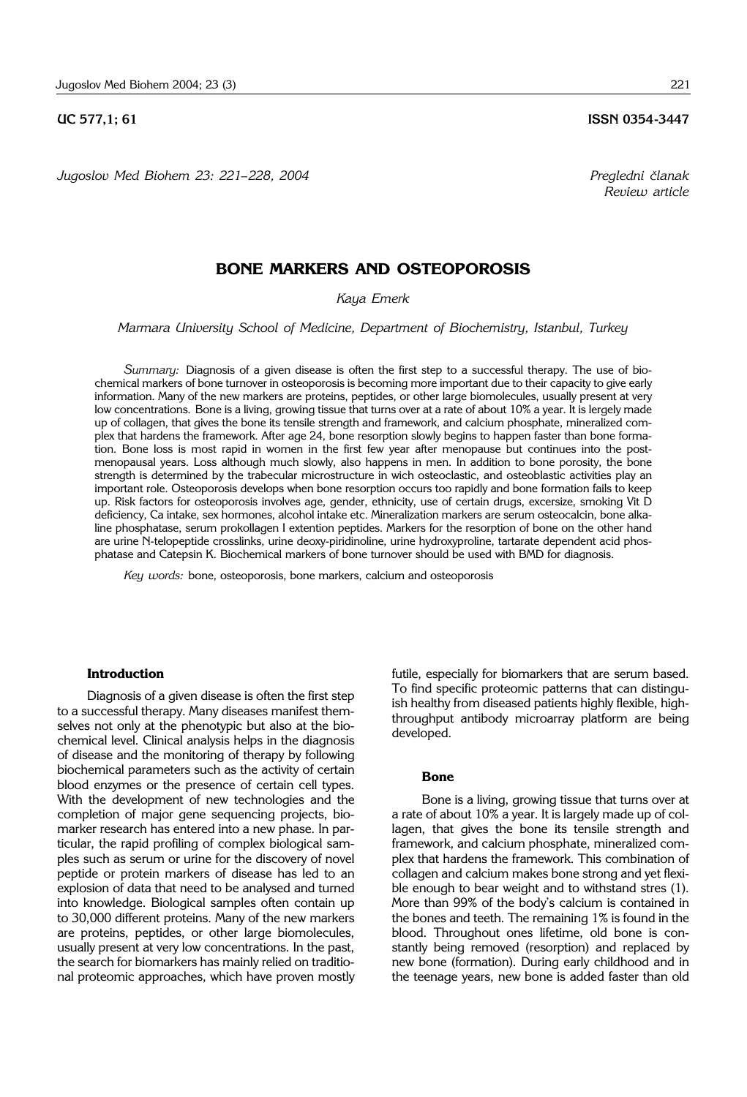# **UC 577,1; 61 ISSN 0354-3447**

*Jugoslov Med Biohem 23: 221– 228, 2004 Pregledni ~lanak*

*Review article*

# **BONE MARKERS AND OSTEOPOROSIS**

*Kaya Emerk*

*Marmara University School of Medicine, Department of Biochemistry, Istanbul, Turkey*

*Summary:* Diagnosis of a given disease is often the first step to a successful therapy. The use of biochemical markers of bone turnover in osteoporosis is becoming more important due to their capacity to give early information. Many of the new markers are proteins, peptides, or other large biomolecules, usually present at very low concentrations. Bone is a living, growing tissue that turns over at a rate of about 10% a vear. It is lergely made up of collagen, that gives the bone its tensile strength and framework, and calcium phosphate, mineralized complex that hardens the framework. After age 24, bone resorption slowly begins to happen faster than bone formation. Bone loss is most rapid in women in the first few year after menopause but continues into the postmenopausal years. Loss although much slowly, also happens in men. In addition to bone porosity, the bone strength is determined by the trabecular microstructure in wich osteoclastic, and osteoblastic activities play an important role. Osteoporosis develops when bone resorption occurs too rapidly and bone formation fails to keep up. Risk factors for osteoporosis involves age, gender, ethnicity, use of certain drugs, excersize, smoking Vit D deficiency, Ca intake, sex hormones, alcohol intake etc. Mineralization markers are serum osteocalcin, bone alkaline phosphatase, serum prokollagen I extention peptides. Markers for the resorption of bone on the other hand are urine N-telopeptide crosslinks, urine deoxy-piridinoline, urine hydroxyproline, tartarate dependent acid phosphatase and Catepsin K. Biochemical markers of bone turnover should be used with BMD for diagnosis.

*Key words:* bone, osteoporosis, bone markers, calcium and osteoporosis

# **Introduction**

Diagnosis of a given disease is often the first step to a successful therapy. Many diseases manifest themselves not only at the phenotypic but also at the biochemical level. Clinical analysis helps in the diagnosis of disease and the monitoring of therapy by following biochemical parameters such as the activity of certain blood enzymes or the presence of certain cell types. With the development of new technologies and the completion of major gene sequencing projects, biomarker research has entered into a new phase. In particular, the rapid profiling of complex biological samples such as serum or urine for the discovery of novel peptide or protein markers of disease has led to an explosion of data that need to be analysed and turned into knowledge. Biological samples often contain up to 30,000 different proteins. Many of the new markers are proteins, peptides, or other large biomolecules, usually present at very low concentrations. In the past, the search for biomarkers has mainly relied on traditional proteomic approaches, which have proven mostly

futile, especially for biomarkers that are serum based. To find specific proteomic patterns that can distinguish healthy from diseased patients highly flexible, highthroughput antibody microarray platform are being developed.

#### **Bone**

Bone is a living, growing tissue that turns over at a rate of about 10% a year. It is largely made up of collagen, that gives the bone its tensile strength and framework, and calcium phosphate, mineralized complex that hardens the framework. This combination of collagen and calcium makes bone strong and yet flexible enough to bear weight and to withstand stres (1). More than 99% of the body's calcium is contained in the bones and teeth. The remaining 1% is found in the blood. Throughout ones lifetime, old bone is constantly being removed (resorption) and replaced by new bone (formation). During early childhood and in the teenage years, new bone is added faster than old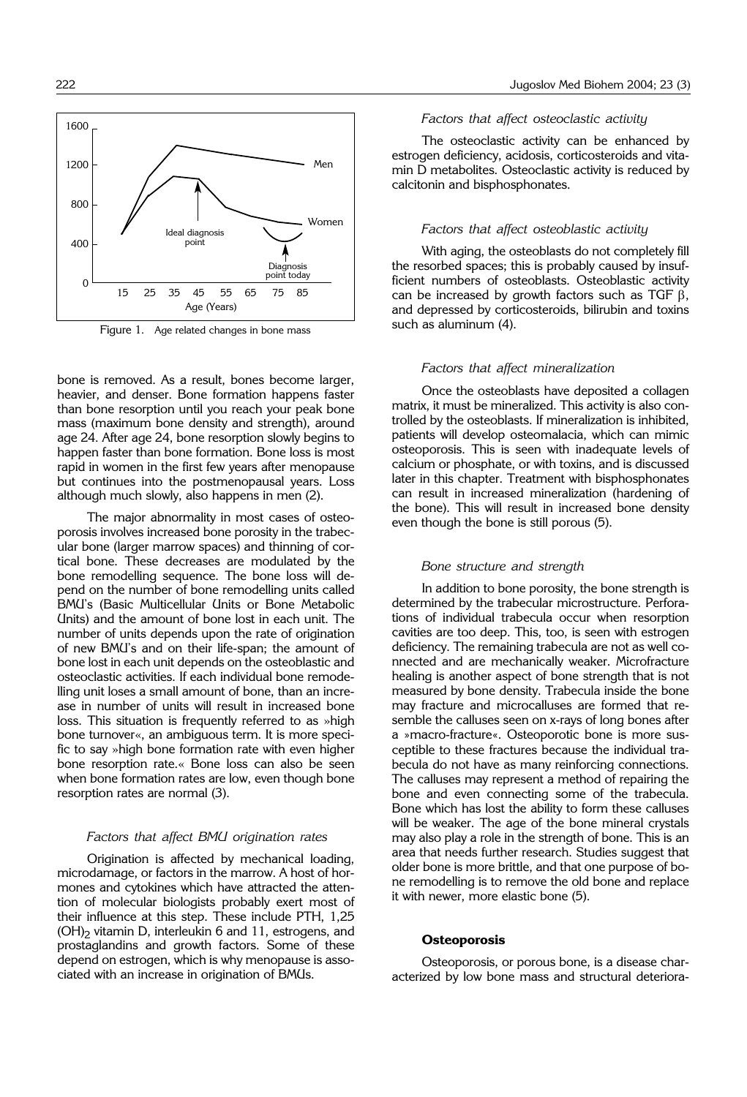

Figure 1. Age related changes in bone mass

bone is removed. As a result, bones become larger, heavier, and denser. Bone formation happens faster than bone resorption until you reach your peak bone mass (maximum bone density and strength), around age 24. After age 24, bone resorption slowly begins to happen faster than bone formation. Bone loss is most rapid in women in the first few years after menopause but continues into the postmenopausal years. Loss although much slowly, also happens in men (2).

The major abnormality in most cases of osteoporosis involves increased bone porosity in the trabecular bone (larger marrow spaces) and thinning of cortical bone. These decreases are modulated by the bone remodelling sequence. The bone loss will depend on the number of bone remodelling units called BMU's (Basic Multicellular Units or Bone Metabolic Units) and the amount of bone lost in each unit. The number of units depends upon the rate of origination of new BMU's and on their life-span; the amount of bone lost in each unit depends on the osteoblastic and osteoclastic activities. If each individual bone remodelling unit loses a small amount of bone, than an increase in number of units will result in increased bone loss. This situation is frequently referred to as »high bone turnover«, an ambiguous term. It is more specific to say »high bone formation rate with even higher bone resorption rate.« Bone loss can also be seen when bone formation rates are low, even though bone resorption rates are normal (3).

#### *Factors that affect BMU origination rates*

Origination is affected by mechanical loading, microdamage, or factors in the marrow. A host of hormones and cytokines which have attracted the attention of molecular biologists probably exert most of their influence at this step. These include PTH, 1,25  $(OH)_2$  vitamin D, interleukin 6 and 11, estrogens, and prostaglandins and growth factors. Some of these depend on estrogen, which is why menopause is associated with an increase in origination of BMUs.

#### *Factors that affect osteoclastic activity*

The osteoclastic activity can be enhanced by estrogen deficiency, acidosis, corticosteroids and vitamin D metabolites. Osteoclastic activity is reduced by calcitonin and bisphosphonates.

#### *Factors that affect osteoblastic activity*

With aging, the osteoblasts do not completely fill the resorbed spaces; this is probably caused by insufficient numbers of osteoblasts. Osteoblastic activity can be increased by growth factors such as TGF  $\beta$ , and depressed by corticosteroids, bilirubin and toxins such as aluminum (4).

### *Factors that affect mineralization*

Once the osteoblasts have deposited a collagen matrix, it must be mineralized. This activity is also controlled by the osteoblasts. If mineralization is inhibited, patients will develop osteomalacia, which can mimic osteoporosis. This is seen with inadequate levels of calcium or phosphate, or with toxins, and is discussed later in this chapter. Treatment with bisphosphonates can result in increased mineralization (hardening of the bone). This will result in increased bone density even though the bone is still porous (5).

# *Bone structure and strength*

In addition to bone porosity, the bone strength is determined by the trabecular microstructure. Perforations of individual trabecula occur when resorption cavities are too deep. This, too, is seen with estrogen deficiency. The remaining trabecula are not as well connected and are mechanically weaker. Microfracture healing is another aspect of bone strength that is not measured by bone density. Trabecula inside the bone may fracture and microcalluses are formed that resemble the calluses seen on x-rays of long bones after a »macro-fracture«. Osteoporotic bone is more susceptible to these fractures because the individual trabecula do not have as many reinforcing connections. The calluses may represent a method of repairing the bone and even connecting some of the trabecula. Bone which has lost the ability to form these calluses will be weaker. The age of the bone mineral crystals may also play a role in the strength of bone. This is an area that needs further research. Studies suggest that older bone is more brittle, and that one purpose of bone remodelling is to remove the old bone and replace it with newer, more elastic bone (5).

### **Osteoporosis**

Osteoporosis, or porous bone, is a disease characterized by low bone mass and structural deteriora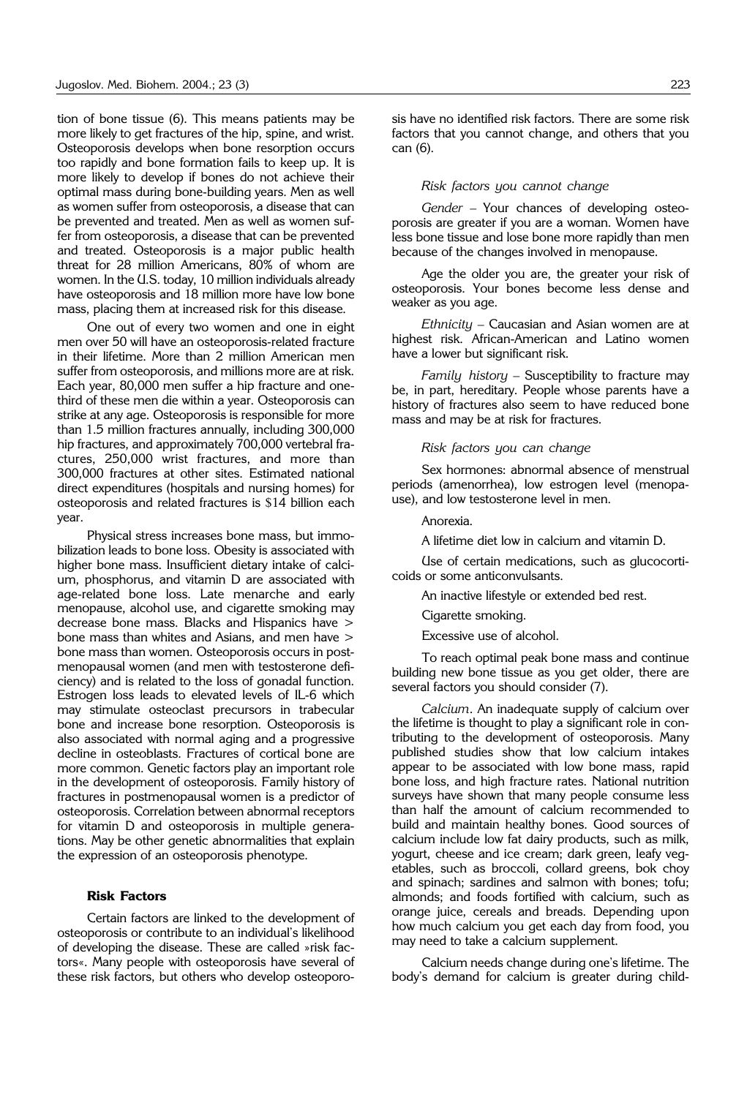tion of bone tissue (6). This means patients may be more likely to get fractures of the hip, spine, and wrist. Osteoporosis develops when bone resorption occurs too rapidly and bone formation fails to keep up. It is more likely to develop if bones do not achieve their optimal mass during bone-building years. Men as well as women suffer from osteoporosis, a disease that can be prevented and treated. Men as well as women suffer from osteoporosis, a disease that can be prevented and treated. Osteoporosis is a major public health threat for 28 million Americans, 80% of whom are women. In the U.S. today, 10 million individuals already have osteoporosis and 18 million more have low bone mass, placing them at increased risk for this disease.

One out of every two women and one in eight men over 50 will have an osteoporosis-related fracture in their lifetime. More than 2 million American men suffer from osteoporosis, and millions more are at risk. Each year, 80,000 men suffer a hip fracture and onethird of these men die within a year. Osteoporosis can strike at any age. Osteoporosis is responsible for more than 1.5 million fractures annually, including 300,000 hip fractures, and approximately 700,000 vertebral fractures, 250,000 wrist fractures, and more than 300,000 fractures at other sites. Estimated national direct expenditures (hospitals and nursing homes) for osteoporosis and related fractures is \$14 billion each year.

Physical stress increases bone mass, but immobilization leads to bone loss. Obesity is associated with higher bone mass. Insufficient dietary intake of calcium, phosphorus, and vitamin D are associated with age-related bone loss. Late menarche and early menopause, alcohol use, and cigarette smoking may decrease bone mass. Blacks and Hispanics have > bone mass than whites and Asians, and men have > bone mass than women. Osteoporosis occurs in postmenopausal women (and men with testosterone deficiency) and is related to the loss of gonadal function. Estrogen loss leads to elevated levels of IL-6 which may stimulate osteoclast precursors in trabecular bone and increase bone resorption. Osteoporosis is also associated with normal aging and a progressive decline in osteoblasts. Fractures of cortical bone are more common. Genetic factors play an important role in the development of osteoporosis. Family history of fractures in postmenopausal women is a predictor of osteoporosis. Correlation between abnormal receptors for vitamin D and osteoporosis in multiple generations. May be other genetic abnormalities that explain the expression of an osteoporosis phenotype.

# **Risk Factors**

Certain factors are linked to the development of osteoporosis or contribute to an individual's likelihood of developing the disease. These are called »risk factors«. Many people with osteoporosis have several of these risk factors, but others who develop osteoporosis have no identified risk factors. There are some risk factors that you cannot change, and others that you can (6).

#### *Risk factors you cannot change*

*Gender* – Your chances of developing osteoporosis are greater if you are a woman. Women have less bone tissue and lose bone more rapidly than men because of the changes involved in menopause.

Age the older you are, the greater your risk of osteoporosis. Your bones become less dense and weaker as you age.

*Ethnicity* – Caucasian and Asian women are at highest risk. African-American and Latino women have a lower but significant risk.

*Family history* – Susceptibility to fracture may be, in part, hereditary. People whose parents have a history of fractures also seem to have reduced bone mass and may be at risk for fractures.

#### *Risk factors you can change*

Sex hormones: abnormal absence of menstrual periods (amenorrhea), low estrogen level (menopause), and low testosterone level in men.

# Anorexia.

A lifetime diet low in calcium and vitamin D.

Use of certain medications, such as glucocorticoids or some anticonvulsants.

An inactive lifestyle or extended bed rest.

Cigarette smoking.

Excessive use of alcohol.

To reach optimal peak bone mass and continue building new bone tissue as you get older, there are several factors you should consider (7).

*Calcium*. An inadequate supply of calcium over the lifetime is thought to play a significant role in contributing to the development of osteoporosis. Many published studies show that low calcium intakes appear to be associated with low bone mass, rapid bone loss, and high fracture rates. National nutrition surveys have shown that many people consume less than half the amount of calcium recommended to build and maintain healthy bones. Good sources of calcium include low fat dairy products, such as milk, yogurt, cheese and ice cream; dark green, leafy vegetables, such as broccoli, collard greens, bok choy and spinach; sardines and salmon with bones; tofu; almonds; and foods fortified with calcium, such as orange juice, cereals and breads. Depending upon how much calcium you get each day from food, you may need to take a calcium supplement.

Calcium needs change during one's lifetime. The body's demand for calcium is greater during child-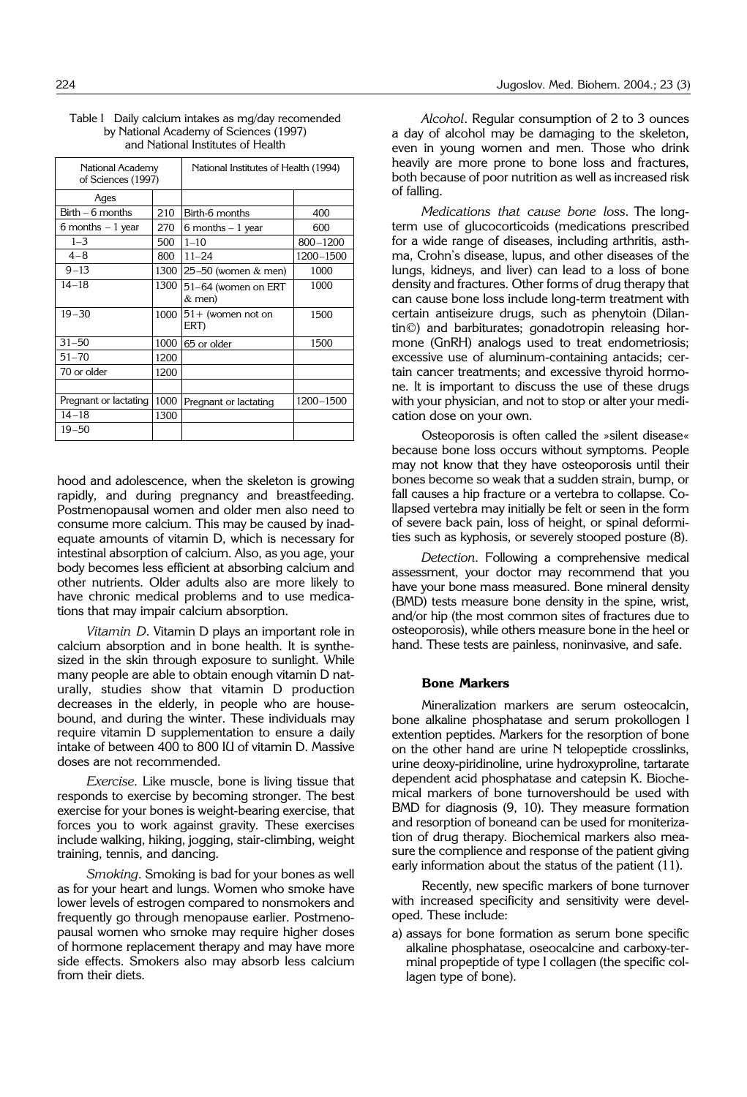| National Academy<br>of Sciences (1997) |      | National Institutes of Health (1994) |              |
|----------------------------------------|------|--------------------------------------|--------------|
| Ages                                   |      |                                      |              |
| $Birth - 6$ months                     | 210  | Birth-6 months                       | 400          |
| 6 months $-1$ year                     | 270  | 6 months $-1$ year                   | 600          |
| $1 - 3$                                | 500  | $1 - 10$                             | $800 - 1200$ |
| $4 - 8$                                | 800  | $11 - 24$                            | 1200-1500    |
| $9 - 13$                               | 1300 | $25-50$ (women $\&$ men)             | 1000         |
| $14 - 18$                              | 1300 | 51-64 (women on ERT<br>$&$ men)      | 1000         |
| $19 - 30$                              | 1000 | $51+$ (women not on<br>ERT)          | 1500         |
| $31 - 50$                              |      | 1000   65 or older                   | 1500         |
| $51 - 70$                              | 1200 |                                      |              |
| 70 or older                            | 1200 |                                      |              |
|                                        |      |                                      |              |
| Pregnant or lactating                  | 1000 | Pregnant or lactating                | 1200-1500    |
| $14 - 18$                              | 1300 |                                      |              |
| $19 - 50$                              |      |                                      |              |

Table I Daily calcium intakes as mg/day recomended by National Academy of Sciences (1997) and National Institutes of Health

hood and adolescence, when the skeleton is growing rapidly, and during pregnancy and breastfeeding. Postmenopausal women and older men also need to consume more calcium. This may be caused by inadequate amounts of vitamin D, which is necessary for intestinal absorption of calcium. Also, as you age, your body becomes less efficient at absorbing calcium and other nutrients. Older adults also are more likely to have chronic medical problems and to use medications that may impair calcium absorption.

*Vitamin D*. Vitamin D plays an important role in calcium absorption and in bone health. It is synthesized in the skin through exposure to sunlight. While many people are able to obtain enough vitamin D naturally, studies show that vitamin D production decreases in the elderly, in people who are housebound, and during the winter. These individuals may require vitamin D supplementation to ensure a daily intake of between 400 to 800 IU of vitamin D. Massive doses are not recommended.

*Exercise.* Like muscle, bone is living tissue that responds to exercise by becoming stronger. The best exercise for your bones is weight-bearing exercise, that forces you to work against gravity. These exercises include walking, hiking, jogging, stair-climbing, weight training, tennis, and dancing.

*Smoking*. Smoking is bad for your bones as well as for your heart and lungs. Women who smoke have lower levels of estrogen compared to nonsmokers and frequently go through menopause earlier. Postmenopausal women who smoke may require higher doses of hormone replacement therapy and may have more side effects. Smokers also may absorb less calcium from their diets.

*Alcohol*. Regular consumption of 2 to 3 ounces a day of alcohol may be damaging to the skeleton, even in young women and men. Those who drink heavily are more prone to bone loss and fractures, both because of poor nutrition as well as increased risk of falling.

*Medications that cause bone loss*. The longterm use of glucocorticoids (medications prescribed for a wide range of diseases, including arthritis, asthma, Crohn's disease, lupus, and other diseases of the lungs, kidneys, and liver) can lead to a loss of bone density and fractures. Other forms of drug therapy that can cause bone loss include long-term treatment with certain antiseizure drugs, such as phenytoin (Dilantin®) and barbiturates; gonadotropin releasing hormone (GnRH) analogs used to treat endometriosis; excessive use of aluminum-containing antacids; certain cancer treatments; and excessive thyroid hormone. It is important to discuss the use of these drugs with your physician, and not to stop or alter your medication dose on your own.

Osteoporosis is often called the »silent disease« because bone loss occurs without symptoms. People may not know that they have osteoporosis until their bones become so weak that a sudden strain, bump, or fall causes a hip fracture or a vertebra to collapse. Collapsed vertebra may initially be felt or seen in the form of severe back pain, loss of height, or spinal deformities such as kyphosis, or severely stooped posture (8).

*Detection*. Following a comprehensive medical assessment, your doctor may recommend that you have your bone mass measured. Bone mineral density (BMD) tests measure bone density in the spine, wrist, and/or hip (the most common sites of fractures due to osteoporosis), while others measure bone in the heel or hand. These tests are painless, noninvasive, and safe.

# **Bone Markers**

Mineralization markers are serum osteocalcin, bone alkaline phosphatase and serum prokollogen I extention peptides. Markers for the resorption of bone on the other hand are urine N telopeptide crosslinks, urine deoxy-piridinoline, urine hydroxyproline, tartarate dependent acid phosphatase and catepsin K. Biochemical markers of bone turnovershould be used with BMD for diagnosis (9, 10). They measure formation and resorption of boneand can be used for moniterization of drug therapy. Biochemical markers also measure the complience and response of the patient giving early information about the status of the patient (11).

Recently, new specific markers of bone turnover with increased specificity and sensitivity were developed. These include:

a) assays for bone formation as serum bone specific alkaline phosphatase, oseocalcine and carboxy-terminal propeptide of type I collagen (the specific collagen type of bone).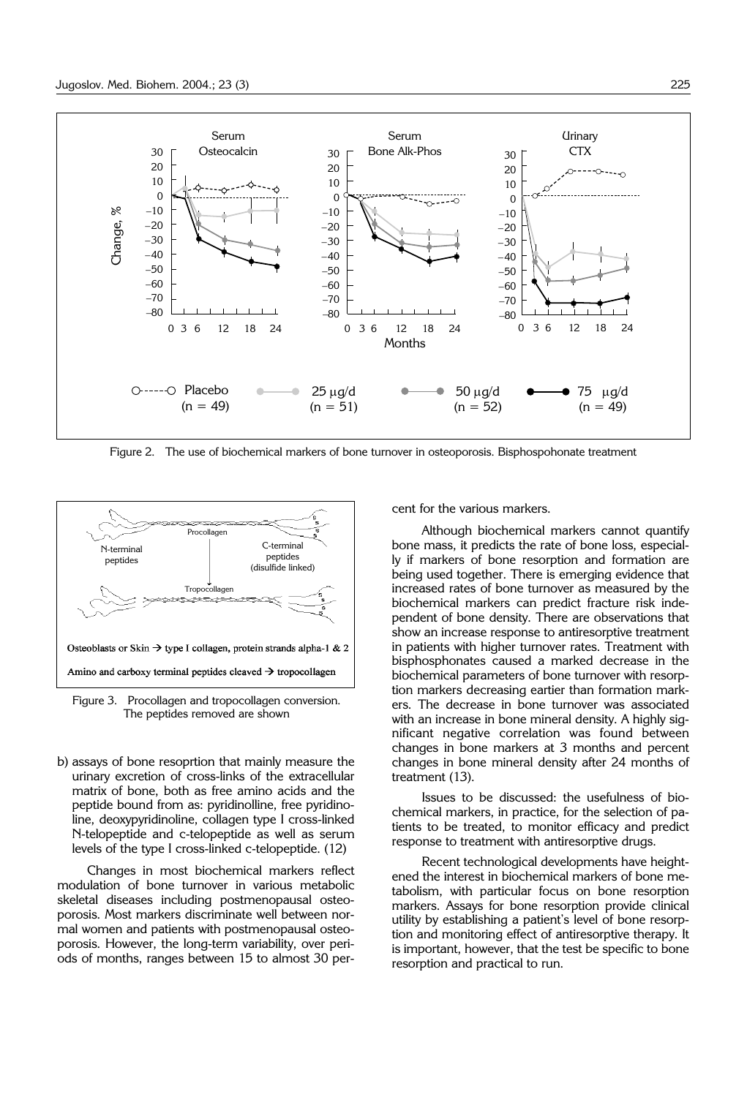

Figure 2. The use of biochemical markers of bone turnover in osteoporosis. Bisphospohonate treatment



Figure 3. Procollagen and tropocollagen conversion. The peptides removed are shown

b) assays of bone resoprtion that mainly measure the urinary excretion of cross-links of the extracellular matrix of bone, both as free amino acids and the peptide bound from as: pyridinolline, free pyridinoline, deoxypyridinoline, collagen type I cross-linked N-telopeptide and c-telopeptide as well as serum levels of the type I cross-linked c-telopeptide. (12)

Changes in most biochemical markers reflect modulation of bone turnover in various metabolic skeletal diseases including postmenopausal osteoporosis. Most markers discriminate well between normal women and patients with postmenopausal osteoporosis. However, the long-term variability, over periods of months, ranges between 15 to almost 30 percent for the various markers.

Although biochemical markers cannot quantify bone mass, it predicts the rate of bone loss, especially if markers of bone resorption and formation are being used together. There is emerging evidence that increased rates of bone turnover as measured by the biochemical markers can predict fracture risk independent of bone density. There are observations that show an increase response to antiresorptive treatment in patients with higher turnover rates. Treatment with bisphosphonates caused a marked decrease in the biochemical parameters of bone turnover with resorption markers decreasing eartier than formation markers. The decrease in bone turnover was associated with an increase in bone mineral density. A highly significant negative correlation was found between changes in bone markers at 3 months and percent changes in bone mineral density after 24 months of treatment (13).

Issues to be discussed: the usefulness of biochemical markers, in practice, for the selection of patients to be treated, to monitor efficacy and predict response to treatment with antiresorptive drugs.

Recent technological developments have heightened the interest in biochemical markers of bone metabolism, with particular focus on bone resorption markers. Assays for bone resorption provide clinical utility by establishing a patient's level of bone resorption and monitoring effect of antiresorptive therapy. It is important, however, that the test be specific to bone resorption and practical to run.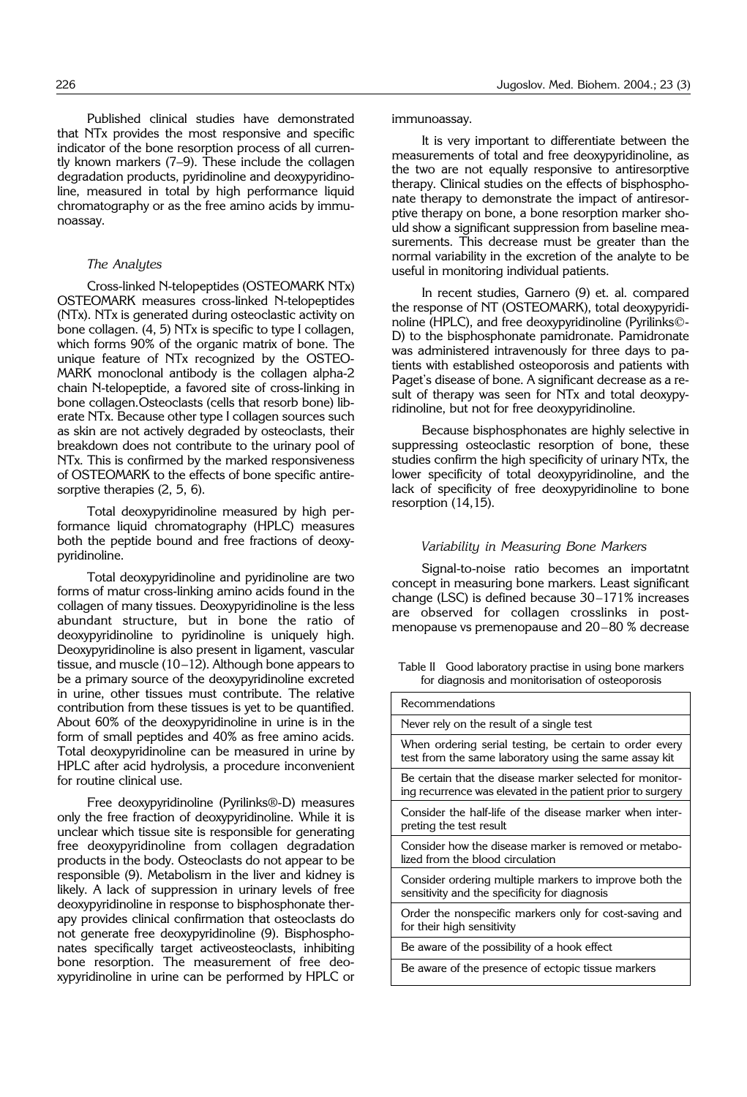Published clinical studies have demonstrated that NTx provides the most responsive and specific indicator of the bone resorption process of all currently known markers (7-9). These include the collagen degradation products, pyridinoline and deoxypyridinoline, measured in total by high performance liquid chromatography or as the free amino acids by immunoassay.

# *The Analytes*

Cross-linked N-telopeptides (OSTEOMARK NTx) OSTEOMARK measures cross-linked N-telopeptides (NTx). NTx is generated during osteoclastic activity on bone collagen. (4, 5) NTx is specific to type I collagen, which forms 90% of the organic matrix of bone. The unique feature of NTx recognized by the OSTEO-MARK monoclonal antibody is the collagen alpha-2 chain N-telopeptide, a favored site of cross-linking in bone collagen.Osteoclasts (cells that resorb bone) liberate NTx. Because other type I collagen sources such as skin are not actively degraded by osteoclasts, their breakdown does not contribute to the urinary pool of NTx. This is confirmed by the marked responsiveness of OSTEOMARK to the effects of bone specific antiresorptive therapies (2, 5, 6).

Total deoxypyridinoline measured by high performance liquid chromatography (HPLC) measures both the peptide bound and free fractions of deoxypyridinoline.

Total deoxypyridinoline and pyridinoline are two forms of matur cross-linking amino acids found in the collagen of many tissues. Deoxypyridinoline is the less abundant structure, but in bone the ratio of deoxypyridinoline to pyridinoline is uniquely high. Deoxypyridinoline is also present in ligament, vascular tissue, and muscle  $(10-12)$ . Although bone appears to be a primary source of the deoxypyridinoline excreted in urine, other tissues must contribute. The relative contribution from these tissues is yet to be quantified. About 60% of the deoxypyridinoline in urine is in the form of small peptides and 40% as free amino acids. Total deoxypyridinoline can be measured in urine by HPLC after acid hydrolysis, a procedure inconvenient for routine clinical use.

Free deoxypyridinoline (Pyrilinks®-D) measures only the free fraction of deoxypyridinoline. While it is unclear which tissue site is responsible for generating free deoxypyridinoline from collagen degradation products in the body. Osteoclasts do not appear to be responsible (9). Metabolism in the liver and kidney is likely. A lack of suppression in urinary levels of free deoxypyridinoline in response to bisphosphonate therapy provides clinical confirmation that osteoclasts do not generate free deoxypyridinoline (9). Bisphosphonates specifically target activeosteoclasts, inhibiting bone resorption. The measurement of free deoxypyridinoline in urine can be performed by HPLC or

immunoassay.

It is very important to differentiate between the measurements of total and free deoxypyridinoline, as the two are not equally responsive to antiresorptive therapy. Clinical studies on the effects of bisphosphonate therapy to demonstrate the impact of antiresorptive therapy on bone, a bone resorption marker should show a significant suppression from baseline measurements. This decrease must be greater than the normal variability in the excretion of the analyte to be useful in monitoring individual patients.

In recent studies, Garnero (9) et. al. compared the response of NT (OSTEOMARK), total deoxypyridinoline (HPLC), and free deoxypyridinoline (Pyrilinks®- D) to the bisphosphonate pamidronate. Pamidronate was administered intravenously for three days to patients with established osteoporosis and patients with Paget's disease of bone. A significant decrease as a result of therapy was seen for NTx and total deoxypyridinoline, but not for free deoxypyridinoline.

Because bisphosphonates are highly selective in suppressing osteoclastic resorption of bone, these studies confirm the high specificity of urinary NTx, the lower specificity of total deoxypyridinoline, and the lack of specificity of free deoxypyridinoline to bone resorption (14,15).

#### *Variability in Measuring Bone Markers*

Signal-to-noise ratio becomes an importatnt concept in measuring bone markers. Least significant change (LSC) is defined because 30–171% increases are observed for collagen crosslinks in postmenopause vs premenopause and 20–80 % decrease

Table II Good laboratory practise in using bone markers for diagnosis and monitorisation of osteoporosis

| Recommendations                                                                                                         |  |  |
|-------------------------------------------------------------------------------------------------------------------------|--|--|
| Never rely on the result of a single test                                                                               |  |  |
| When ordering serial testing, be certain to order every<br>test from the same laboratory using the same assay kit       |  |  |
| Be certain that the disease marker selected for monitor-<br>ing recurrence was elevated in the patient prior to surgery |  |  |
| Consider the half-life of the disease marker when inter-<br>preting the test result                                     |  |  |
| Consider how the disease marker is removed or metabo-<br>lized from the blood circulation                               |  |  |
| Consider ordering multiple markers to improve both the<br>sensitivity and the specificity for diagnosis                 |  |  |
| Order the nonspecific markers only for cost-saving and<br>for their high sensitivity                                    |  |  |
| Be aware of the possibility of a hook effect                                                                            |  |  |
| Be aware of the presence of ectopic tissue markers                                                                      |  |  |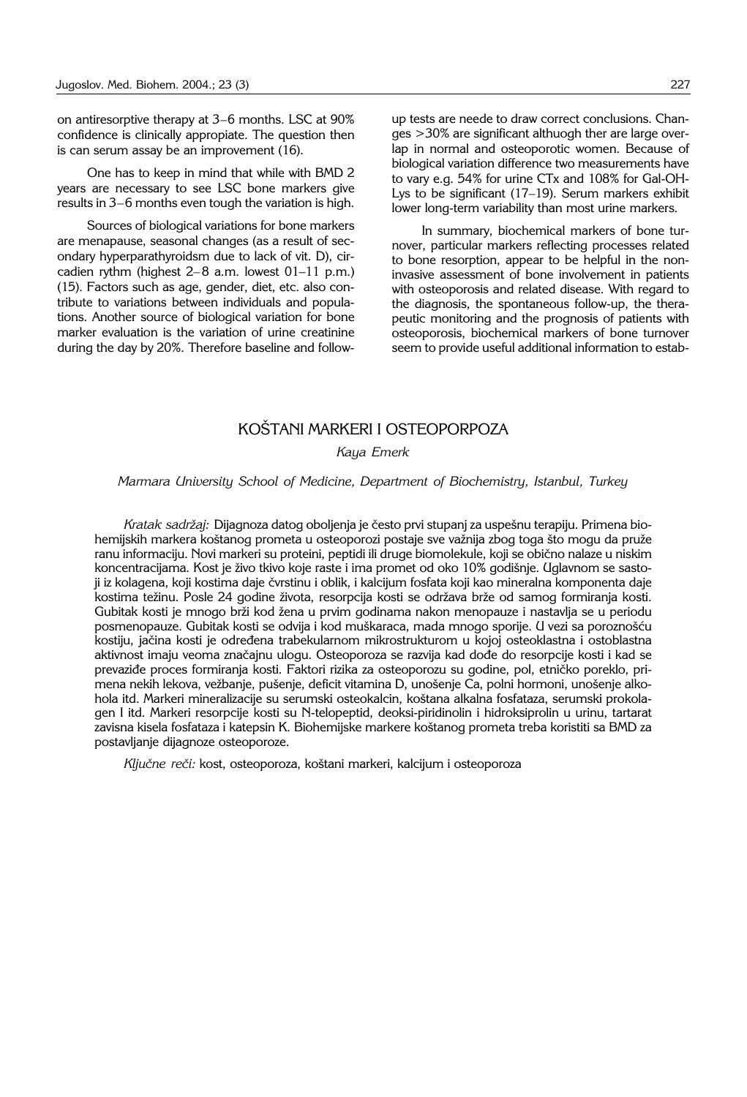on antiresorptive therapy at 3–6 months. LSC at 90% confidence is clinically appropiate. The question then is can serum assay be an improvement (16).

One has to keep in mind that while with BMD 2 years are necessary to see LSC bone markers give results in 3–6 months even tough the variation is high.

Sources of biological variations for bone markers are menapause, seasonal changes (as a result of secondary hyperparathyroidsm due to lack of vit. D), circadien rythm (highest  $2-8$  a.m. lowest  $01-11$  p.m.) (15). Factors such as age, gender, diet, etc. also contribute to variations between individuals and populations. Another source of biological variation for bone marker evaluation is the variation of urine creatinine during the day by 20%. Therefore baseline and followup tests are neede to draw correct conclusions. Changes >30% are significant althuogh ther are large overlap in normal and osteoporotic women. Because of biological variation difference two measurements have to vary e.g. 54% for urine CTx and 108% for Gal-OH-Lys to be significant (17–19). Serum markers exhibit lower long-term variability than most urine markers.

In summary, biochemical markers of bone turnover, particular markers reflecting processes related to bone resorption, appear to be helpful in the noninvasive assessment of bone involvement in patients with osteoporosis and related disease. With regard to the diagnosis, the spontaneous follow-up, the therapeutic monitoring and the prognosis of patients with osteoporosis, biochemical markers of bone turnover seem to provide useful additional information to estab-

# KOŠTANI MARKERI I OSTEOPORPOZA

# *Kaya Emerk*

# *Marmara University School of Medicine, Department of Biochemistry, Istanbul, Turkey*

Kratak sadržaj: Dijagnoza datog oboljenja je često prvi stupanj za uspešnu terapiju. Primena biohemijskih markera koštanog prometa u osteoporozi postaje sve važnija zbog toga što mogu da pruže ranu informaciju. Novi markeri su proteini, peptidi ili druge biomolekule, koji se obično nalaze u niskim koncentracijama. Kost je živo tkivo koje raste i ima promet od oko 10% godišnje. Uglavnom se sastoji iz kolagena, koji kostima daje čvrstinu i oblik, i kalcijum fosfata koji kao mineralna komponenta daje kostima težinu. Posle 24 godine života, resorpcija kosti se održava brže od samog formiranja kosti. Gubitak kosti je mnogo brži kod žena u prvim godinama nakon menopauze i nastavlja se u periodu posmenopauze. Gubitak kosti se odvija i kod muškaraca, mada mnogo sporije. U vezi sa poroznošću kostiju, jačina kosti je određena trabekularnom mikrostrukturom u kojoj osteoklastna i ostoblastna aktivnost imaju veoma značajnu ulogu. Osteoporoza se razvija kad dođe do resorpcije kosti i kad se prevaziđe proces formiranja kosti. Faktori rizika za osteoporozu su godine, pol, etničko poreklo, primena nekih lekova, vežbanje, pušenje, deficit vitamina D, unošenje Ca, polni hormoni, unošenje alkohola itd. Markeri mineralizacije su serumski osteokalcin, koštana alkalna fosfataza, serumski prokolagen I itd. Markeri resorpcije kosti su N-telopeptid, deoksi-piridinolin i hidroksiprolin u urinu, tartarat zavisna kisela fosfataza i katepsin K. Biohemijske markere koštanog prometa treba koristiti sa BMD za postavljanje dijagnoze osteoporoze.

Ključne reči: kost, osteoporoza, koštani markeri, kalcijum i osteoporoza